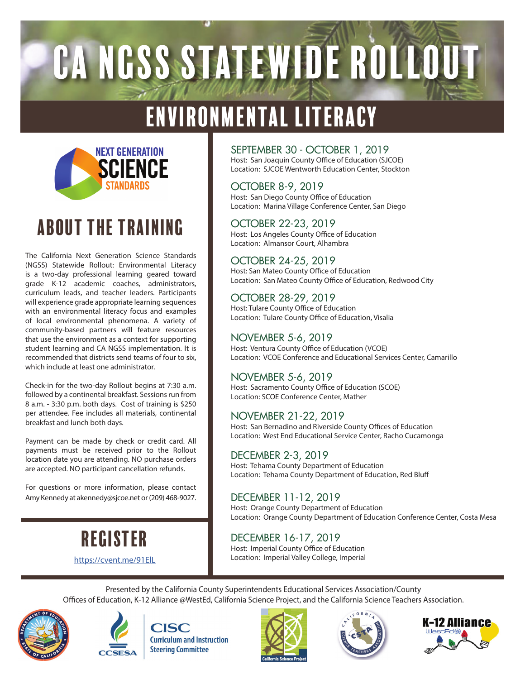# CA NGSS STATEWIDE ROLLOUT

## ENVIRONMENTAL LITERACY



## ABOUT THE TRAINING

The California Next Generation Science Standards (NGSS) Statewide Rollout: Environmental Literacy is a two-day professional learning geared toward grade K-12 academic coaches, administrators, curriculum leads, and teacher leaders. Participants will experience grade appropriate learning sequences with an environmental literacy focus and examples of local environmental phenomena. A variety of community-based partners will feature resources that use the environment as a context for supporting student learning and CA NGSS implementation. It is recommended that districts send teams of four to six, which include at least one administrator.

Check-in for the two-day Rollout begins at 7:30 a.m. followed by a continental breakfast. Sessions run from 8 a.m. - 3:30 p.m. both days. Cost of training is \$250 per attendee. Fee includes all materials, continental breakfast and lunch both days.

Payment can be made by check or credit card. All payments must be received prior to the Rollout location date you are attending. NO purchase orders are accepted. NO participant cancellation refunds.

For questions or more information, please contact Amy Kennedy at akennedy@sjcoe.net or (209) 468-9027.

> REGISTER https://cvent.me/91ElL

### SEPTEMBER 30 - OCTOBER 1, 2019

Host: San Joaquin County Office of Education (SJCOE) Location: SJCOE Wentworth Education Center, Stockton

### OCTOBER 8-9, 2019

Host: San Diego County Office of Education Location: Marina Village Conference Center, San Diego

#### OCTOBER 22-23, 2019

Host: Los Angeles County Office of Education Location: Almansor Court, Alhambra

### OCTOBER 24-25, 2019

Host: San Mateo County Office of Education Location: San Mateo County Office of Education, Redwood City

### OCTOBER 28-29, 2019

Host: Tulare County Office of Education Location: Tulare County Office of Education, Visalia

### NOVEMBER 5-6, 2019

Host: Ventura County Office of Education (VCOE) Location: VCOE Conference and Educational Services Center, Camarillo

### NOVEMBER 5-6, 2019

Host: Sacramento County Office of Education (SCOE) Location: SCOE Conference Center, Mather

#### NOVEMBER 21-22, 2019

Host: San Bernadino and Riverside County Offices of Education Location: West End Educational Service Center, Racho Cucamonga

### DECEMBER 2-3, 2019

Host: Tehama County Department of Education Location: Tehama County Department of Education, Red Blu

### DECEMBER 11-12, 2019

Host: Orange County Department of Education Location: Orange County Department of Education Conference Center, Costa Mesa

## DECEMBER 16-17, 2019

Host: Imperial County Office of Education Location: Imperial Valley College, Imperial

Presented by the California County Superintendents Educational Services Association/County Offices of Education, K-12 Alliance @WestEd, California Science Project, and the California Science Teachers Association.





**CISC Curriculum and Instruction Steering Committee**